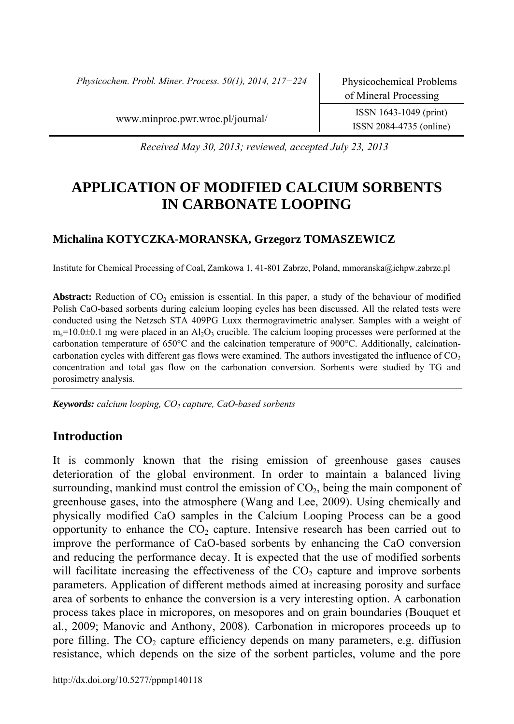*Physicochem. Probl. Miner. Process. 50(1), 2014, 217−224* Physicochemical Problems

www.minproc.pwr.wroc.pl/journal/ ISSN 1643-1049 (print)

ISSN 2084-4735 (online)

*Received May 30, 2013; reviewed, accepted July 23, 2013* 

# **APPLICATION OF MODIFIED CALCIUM SORBENTS IN CARBONATE LOOPING**

## **Michalina KOTYCZKA-MORANSKA, Grzegorz TOMASZEWICZ**

Institute for Chemical Processing of Coal, Zamkowa 1, 41-801 Zabrze, Poland, mmoranska@ichpw.zabrze.pl

**Abstract:** Reduction of CO<sub>2</sub> emission is essential. In this paper, a study of the behaviour of modified Polish CaO-based sorbents during calcium looping cycles has been discussed. All the related tests were conducted using the Netzsch STA 409PG Luxx thermogravimetric analyser. Samples with a weight of  $m<sub>s</sub>=10.0\pm0.1$  mg were placed in an Al<sub>2</sub>O<sub>3</sub> crucible. The calcium looping processes were performed at the carbonation temperature of 650°C and the calcination temperature of 900°C. Additionally, calcinationcarbonation cycles with different gas flows were examined. The authors investigated the influence of  $CO<sub>2</sub>$ concentration and total gas flow on the carbonation conversion. Sorbents were studied by TG and porosimetry analysis.

Keywords: calcium looping, CO<sub>2</sub> capture, CaO-based sorbents

# **Introduction**

It is commonly known that the rising emission of greenhouse gases causes deterioration of the global environment. In order to maintain a balanced living surrounding, mankind must control the emission of  $CO<sub>2</sub>$ , being the main component of greenhouse gases, into the atmosphere (Wang and Lee, 2009). Using chemically and physically modified CaO samples in the Calcium Looping Process can be a good opportunity to enhance the  $CO<sub>2</sub>$  capture. Intensive research has been carried out to improve the performance of CaO-based sorbents by enhancing the CaO conversion and reducing the performance decay. It is expected that the use of modified sorbents will facilitate increasing the effectiveness of the  $CO<sub>2</sub>$  capture and improve sorbents parameters. Application of different methods aimed at increasing porosity and surface area of sorbents to enhance the conversion is a very interesting option. A carbonation process takes place in micropores, on mesopores and on grain boundaries (Bouquet et al., 2009; Manovic and Anthony, 2008). Carbonation in micropores proceeds up to pore filling. The  $CO<sub>2</sub>$  capture efficiency depends on many parameters, e.g. diffusion resistance, which depends on the size of the sorbent particles, volume and the pore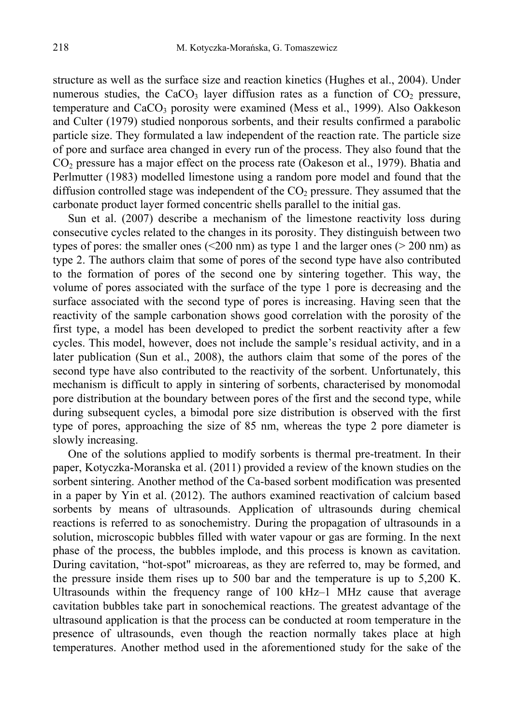structure as well as the surface size and reaction kinetics (Hughes et al., 2004). Under numerous studies, the CaCO<sub>3</sub> layer diffusion rates as a function of  $CO<sub>2</sub>$  pressure, temperature and  $CaCO<sub>3</sub>$  porosity were examined (Mess et al., 1999). Also Oakkeson and Culter (1979) studied nonporous sorbents, and their results confirmed a parabolic particle size. They formulated a law independent of the reaction rate. The particle size of pore and surface area changed in every run of the process. They also found that the  $CO<sub>2</sub>$  pressure has a major effect on the process rate (Oakeson et al., 1979). Bhatia and Perlmutter (1983) modelled limestone using a random pore model and found that the diffusion controlled stage was independent of the  $CO<sub>2</sub>$  pressure. They assumed that the carbonate product layer formed concentric shells parallel to the initial gas.

Sun et al. (2007) describe a mechanism of the limestone reactivity loss during consecutive cycles related to the changes in its porosity. They distinguish between two types of pores: the smaller ones  $\left( \leq 200 \text{ nm} \right)$  as type 1 and the larger ones  $\left( > 200 \text{ nm} \right)$  as type 2. The authors claim that some of pores of the second type have also contributed to the formation of pores of the second one by sintering together. This way, the volume of pores associated with the surface of the type 1 pore is decreasing and the surface associated with the second type of pores is increasing. Having seen that the reactivity of the sample carbonation shows good correlation with the porosity of the first type, a model has been developed to predict the sorbent reactivity after a few cycles. This model, however, does not include the sample's residual activity, and in a later publication (Sun et al., 2008), the authors claim that some of the pores of the second type have also contributed to the reactivity of the sorbent. Unfortunately, this mechanism is difficult to apply in sintering of sorbents, characterised by monomodal pore distribution at the boundary between pores of the first and the second type, while during subsequent cycles, a bimodal pore size distribution is observed with the first type of pores, approaching the size of 85 nm, whereas the type 2 pore diameter is slowly increasing.

One of the solutions applied to modify sorbents is thermal pre-treatment. In their paper, Kotyczka-Moranska et al. (2011) provided a review of the known studies on the sorbent sintering. Another method of the Ca-based sorbent modification was presented in a paper by Yin et al. (2012). The authors examined reactivation of calcium based sorbents by means of ultrasounds. Application of ultrasounds during chemical reactions is referred to as sonochemistry. During the propagation of ultrasounds in a solution, microscopic bubbles filled with water vapour or gas are forming. In the next phase of the process, the bubbles implode, and this process is known as cavitation. During cavitation, "hot-spot" microareas, as they are referred to, may be formed, and the pressure inside them rises up to 500 bar and the temperature is up to 5,200 K. Ultrasounds within the frequency range of 100 kHz–1 MHz cause that average cavitation bubbles take part in sonochemical reactions. The greatest advantage of the ultrasound application is that the process can be conducted at room temperature in the presence of ultrasounds, even though the reaction normally takes place at high temperatures. Another method used in the aforementioned study for the sake of the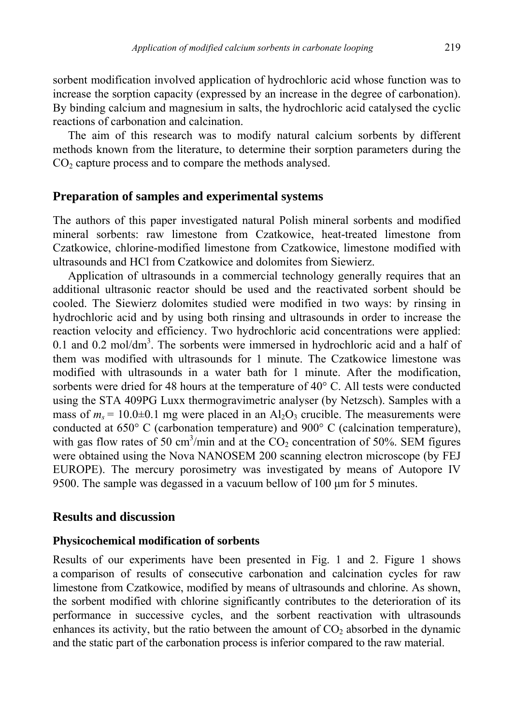sorbent modification involved application of hydrochloric acid whose function was to increase the sorption capacity (expressed by an increase in the degree of carbonation). By binding calcium and magnesium in salts, the hydrochloric acid catalysed the cyclic reactions of carbonation and calcination.

The aim of this research was to modify natural calcium sorbents by different methods known from the literature, to determine their sorption parameters during the  $CO<sub>2</sub>$  capture process and to compare the methods analysed.

# **Preparation of samples and experimental systems**

The authors of this paper investigated natural Polish mineral sorbents and modified mineral sorbents: raw limestone from Czatkowice, heat-treated limestone from Czatkowice, chlorine-modified limestone from Czatkowice, limestone modified with ultrasounds and HCl from Czatkowice and dolomites from Siewierz.

Application of ultrasounds in a commercial technology generally requires that an additional ultrasonic reactor should be used and the reactivated sorbent should be cooled. The Siewierz dolomites studied were modified in two ways: by rinsing in hydrochloric acid and by using both rinsing and ultrasounds in order to increase the reaction velocity and efficiency. Two hydrochloric acid concentrations were applied: 0.1 and 0.2 mol/dm<sup>3</sup>. The sorbents were immersed in hydrochloric acid and a half of them was modified with ultrasounds for 1 minute. The Czatkowice limestone was modified with ultrasounds in a water bath for 1 minute. After the modification, sorbents were dried for 48 hours at the temperature of 40° C. All tests were conducted using the STA 409PG Luxx thermogravimetric analyser (by Netzsch). Samples with a mass of  $m_s = 10.0\pm0.1$  mg were placed in an Al<sub>2</sub>O<sub>3</sub> crucible. The measurements were conducted at 650° C (carbonation temperature) and 900° C (calcination temperature), with gas flow rates of 50 cm<sup>3</sup>/min and at the  $CO_2$  concentration of 50%. SEM figures were obtained using the Nova NANOSEM 200 scanning electron microscope (by FEJ EUROPE). The mercury porosimetry was investigated by means of Autopore IV 9500. The sample was degassed in a vacuum bellow of 100 µm for 5 minutes.

## **Results and discussion**

## **Physicochemical modification of sorbents**

Results of our experiments have been presented in Fig. 1 and 2. Figure 1 shows a comparison of results of consecutive carbonation and calcination cycles for raw limestone from Czatkowice, modified by means of ultrasounds and chlorine. As shown, the sorbent modified with chlorine significantly contributes to the deterioration of its performance in successive cycles, and the sorbent reactivation with ultrasounds enhances its activity, but the ratio between the amount of  $CO<sub>2</sub>$  absorbed in the dynamic and the static part of the carbonation process is inferior compared to the raw material.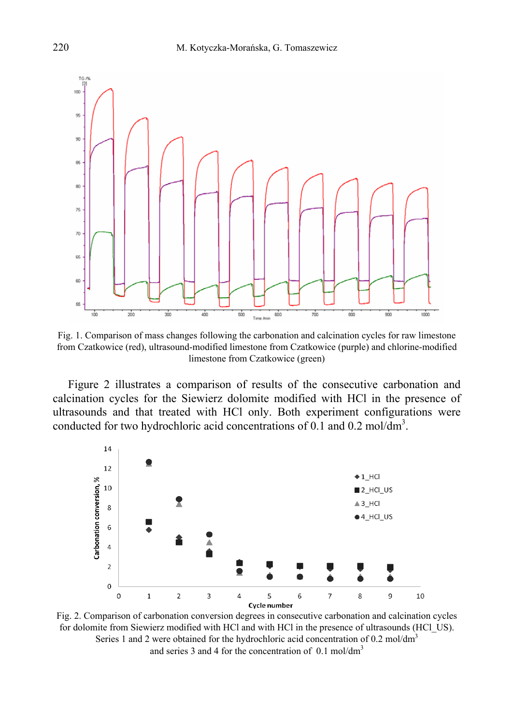

Fig. 1. Comparison of mass changes following the carbonation and calcination cycles for raw limestone from Czatkowice (red), ultrasound-modified limestone from Czatkowice (purple) and chlorine-modified limestone from Czatkowice (green)

Figure 2 illustrates a comparison of results of the consecutive carbonation and calcination cycles for the Siewierz dolomite modified with HCl in the presence of ultrasounds and that treated with HCl only. Both experiment configurations were conducted for two hydrochloric acid concentrations of 0.1 and 0.2 mol/dm<sup>3</sup>.



Fig. 2. Comparison of carbonation conversion degrees in consecutive carbonation and calcination cycles for dolomite from Siewierz modified with HCl and with HCl in the presence of ultrasounds (HCl\_US). Series 1 and 2 were obtained for the hydrochloric acid concentration of 0.2 mol/dm<sup>3</sup> and series 3 and 4 for the concentration of 0.1 mol/dm<sup>3</sup>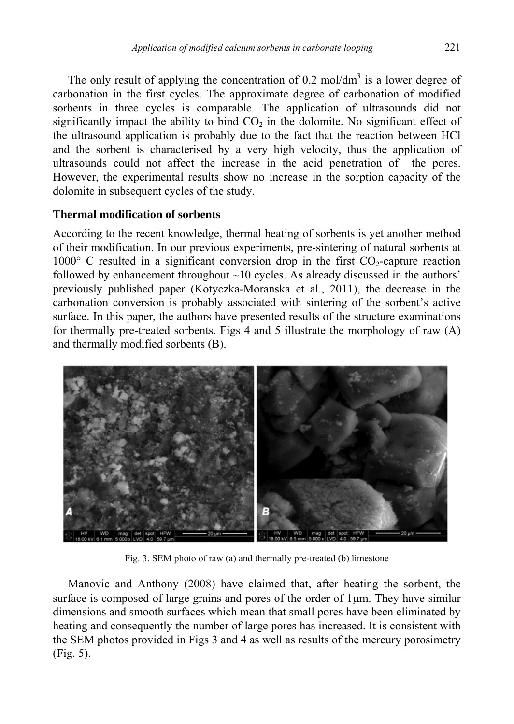The only result of applying the concentration of 0.2 mol/ $dm<sup>3</sup>$  is a lower degree of carbonation in the first cycles. The approximate degree of carbonation of modified sorbents in three cycles is comparable. The application of ultrasounds did not significantly impact the ability to bind  $CO<sub>2</sub>$  in the dolomite. No significant effect of the ultrasound application is probably due to the fact that the reaction between HCl and the sorbent is characterised by a very high velocity, thus the application of ultrasounds could not affect the increase in the acid penetration of the pores. However, the experimental results show no increase in the sorption capacity of the dolomite in subsequent cycles of the study.

## **Thermal modification of sorbents**

According to the recent knowledge, thermal heating of sorbents is yet another method of their modification. In our previous experiments, pre-sintering of natural sorbents at 1000 $\degree$  C resulted in a significant conversion drop in the first CO<sub>2</sub>-capture reaction followed by enhancement throughout  $\sim$ 10 cycles. As already discussed in the authors' previously published paper (Kotyczka-Moranska et al., 2011), the decrease in the carbonation conversion is probably associated with sintering of the sorbent's active surface. In this paper, the authors have presented results of the structure examinations for thermally pre-treated sorbents. Figs 4 and 5 illustrate the morphology of raw (A) and thermally modified sorbents (B).



Fig. 3. SEM photo of raw (a) and thermally pre-treated (b) limestone

Manovic and Anthony (2008) have claimed that, after heating the sorbent, the surface is composed of large grains and pores of the order of  $1\mu$ m. They have similar dimensions and smooth surfaces which mean that small pores have been eliminated by heating and consequently the number of large pores has increased. It is consistent with the SEM photos provided in Figs 3 and 4 as well as results of the mercury porosimetry (Fig. 5).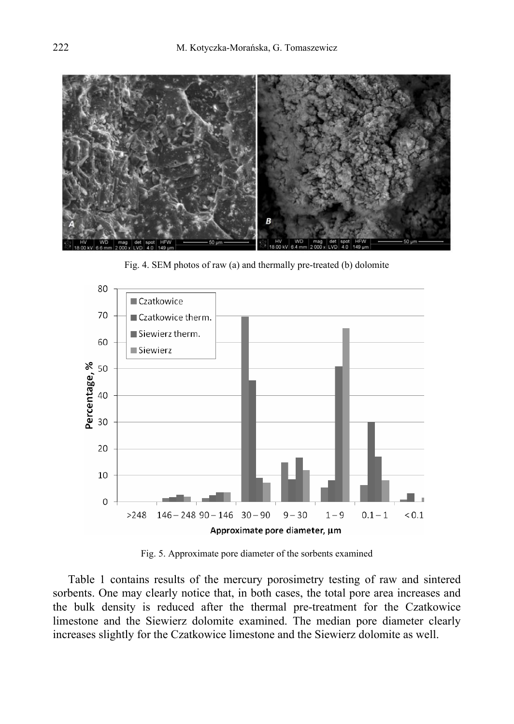

Fig. 4. SEM photos of raw (a) and thermally pre-treated (b) dolomite



Fig. 5. Approximate pore diameter of the sorbents examined

Table 1 contains results of the mercury porosimetry testing of raw and sintered sorbents. One may clearly notice that, in both cases, the total pore area increases and the bulk density is reduced after the thermal pre-treatment for the Czatkowice limestone and the Siewierz dolomite examined. The median pore diameter clearly increases slightly for the Czatkowice limestone and the Siewierz dolomite as well.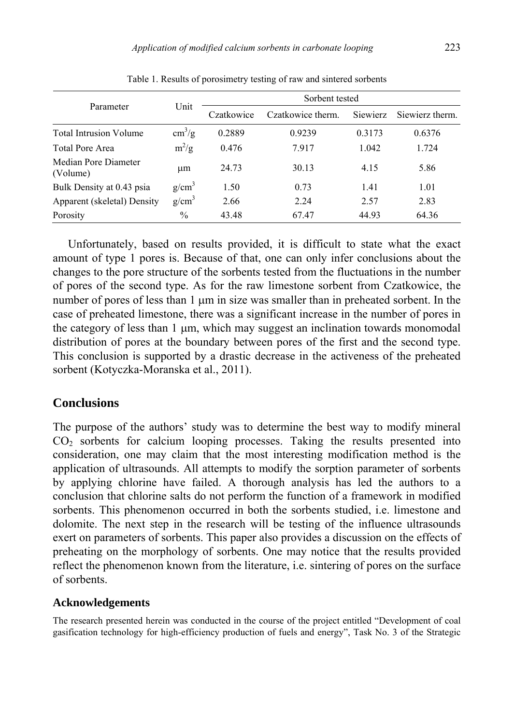| Parameter                        | Unit                   | Sorbent tested |                   |          |                 |
|----------------------------------|------------------------|----------------|-------------------|----------|-----------------|
|                                  |                        | Czatkowice     | Czatkowice therm. | Siewierz | Siewierz therm. |
| <b>Total Intrusion Volume</b>    | $\text{cm}^3/\text{g}$ | 0.2889         | 0.9239            | 0.3173   | 0.6376          |
| <b>Total Pore Area</b>           | $m^2/g$                | 0.476          | 7.917             | 1.042    | 1.724           |
| Median Pore Diameter<br>(Volume) | μm                     | 24.73          | 30.13             | 4.15     | 5.86            |
| Bulk Density at 0.43 psia        | $g/cm^3$               | 1.50           | 0.73              | 1.41     | 1.01            |
| Apparent (skeletal) Density      | $g/cm^3$               | 2.66           | 2.24              | 2.57     | 2.83            |
| Porosity                         | $\frac{0}{0}$          | 43.48          | 67.47             | 44.93    | 64.36           |

Table 1. Results of porosimetry testing of raw and sintered sorbents

Unfortunately, based on results provided, it is difficult to state what the exact amount of type 1 pores is. Because of that, one can only infer conclusions about the changes to the pore structure of the sorbents tested from the fluctuations in the number of pores of the second type. As for the raw limestone sorbent from Czatkowice, the number of pores of less than  $1 \mu m$  in size was smaller than in preheated sorbent. In the case of preheated limestone, there was a significant increase in the number of pores in the category of less than 1 µm, which may suggest an inclination towards monomodal distribution of pores at the boundary between pores of the first and the second type. This conclusion is supported by a drastic decrease in the activeness of the preheated sorbent (Kotyczka-Moranska et al., 2011).

## **Conclusions**

The purpose of the authors' study was to determine the best way to modify mineral CO2 sorbents for calcium looping processes. Taking the results presented into consideration, one may claim that the most interesting modification method is the application of ultrasounds. All attempts to modify the sorption parameter of sorbents by applying chlorine have failed. A thorough analysis has led the authors to a conclusion that chlorine salts do not perform the function of a framework in modified sorbents. This phenomenon occurred in both the sorbents studied, i.e. limestone and dolomite. The next step in the research will be testing of the influence ultrasounds exert on parameters of sorbents. This paper also provides a discussion on the effects of preheating on the morphology of sorbents. One may notice that the results provided reflect the phenomenon known from the literature, i.e. sintering of pores on the surface of sorbents.

#### **Acknowledgements**

The research presented herein was conducted in the course of the project entitled "Development of coal gasification technology for high-efficiency production of fuels and energy", Task No. 3 of the Strategic